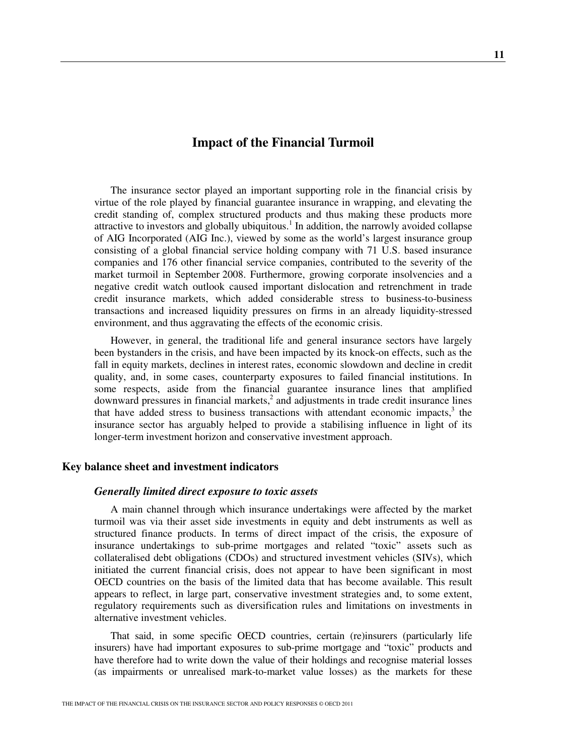# **Impact of the Financial Turmoil**

The insurance sector played an important supporting role in the financial crisis by virtue of the role played by financial guarantee insurance in wrapping, and elevating the credit standing of, complex structured products and thus making these products more attractive to investors and globally ubiquitous.<sup>1</sup> In addition, the narrowly avoided collapse of AIG Incorporated (AIG Inc.), viewed by some as the world's largest insurance group consisting of a global financial service holding company with 71 U.S. based insurance companies and 176 other financial service companies, contributed to the severity of the market turmoil in September 2008. Furthermore, growing corporate insolvencies and a negative credit watch outlook caused important dislocation and retrenchment in trade credit insurance markets, which added considerable stress to business-to-business transactions and increased liquidity pressures on firms in an already liquidity-stressed environment, and thus aggravating the effects of the economic crisis.

However, in general, the traditional life and general insurance sectors have largely been bystanders in the crisis, and have been impacted by its knock-on effects, such as the fall in equity markets, declines in interest rates, economic slowdown and decline in credit quality, and, in some cases, counterparty exposures to failed financial institutions. In some respects, aside from the financial guarantee insurance lines that amplified downward pressures in financial markets, $<sup>2</sup>$  and adjustments in trade credit insurance lines</sup> that have added stress to business transactions with attendant economic impacts,<sup>3</sup> the insurance sector has arguably helped to provide a stabilising influence in light of its longer-term investment horizon and conservative investment approach.

## **Key balance sheet and investment indicators**

#### *Generally limited direct exposure to toxic assets*

A main channel through which insurance undertakings were affected by the market turmoil was via their asset side investments in equity and debt instruments as well as structured finance products. In terms of direct impact of the crisis, the exposure of insurance undertakings to sub-prime mortgages and related "toxic" assets such as collateralised debt obligations (CDOs) and structured investment vehicles (SIVs), which initiated the current financial crisis, does not appear to have been significant in most OECD countries on the basis of the limited data that has become available. This result appears to reflect, in large part, conservative investment strategies and, to some extent, regulatory requirements such as diversification rules and limitations on investments in alternative investment vehicles.

That said, in some specific OECD countries, certain (re)insurers (particularly life insurers) have had important exposures to sub-prime mortgage and "toxic" products and have therefore had to write down the value of their holdings and recognise material losses (as impairments or unrealised mark-to-market value losses) as the markets for these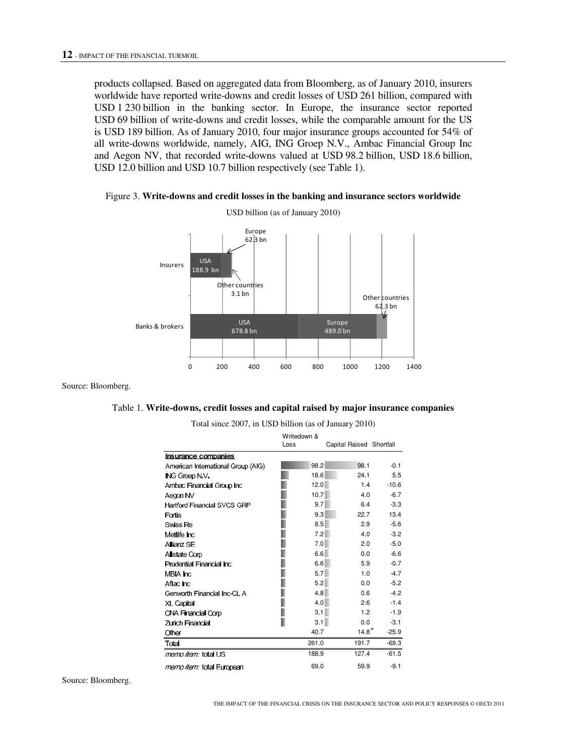products collapsed. Based on aggregated data from Bloomberg, as of January 2010, insurers worldwide have reported write-downs and credit losses of USD 261 billion, compared with USD 1 230 billion in the banking sector. In Europe, the insurance sector reported USD 69 billion of write-downs and credit losses, while the comparable amount for the US is USD 189 billion. As of January 2010, four major insurance groups accounted for 54% of all write-downs worldwide, namely, AIG, ING Groep N.V., Ambac Financial Group Inc and Aegon NV, that recorded write-downs valued at USD 98.2 billion, USD 18.6 billion, USD 12.0 billion and USD 10.7 billion respectively (see Table 1).





USD billion (as of January 2010)

Source: Bloomberg.

#### Table 1. **Write-downs, credit losses and capital raised by major insurance companies**

|                                    | Writedown & |       |            |                          |
|------------------------------------|-------------|-------|------------|--------------------------|
|                                    | Loss        |       |            | Capital Raised Shortfall |
| Insurance companies                |             |       |            |                          |
| American International Group (AIG) |             | 98.2  | 98.1       | $-0.1$                   |
| <b>ING Groep N.V.</b>              |             | 18.6  | 24.1       | 5.5                      |
| Ambac Financial Group Inc.         |             | 12.0  | 1.4        | $-10.6$                  |
| Aegon NV                           |             | 10.7  | 4.0        | $-6.7$                   |
| <b>Hartford Financial SVCS GRP</b> |             | 9.7   | 6.4        | $-3.3$                   |
| Fortis                             |             | 9.3   | 22.7       | 13.4                     |
| Swiss Re                           |             | 8.5   | 2.9        | $-5.6$                   |
| Metlife Inc.                       |             | 7.2   | 4.0        | $-3.2$                   |
| Allianz SE                         |             | 7.0   | 2.0        | $-5.0$                   |
| <b>Allstate Corp</b>               |             | 6.6   | 0.0        | $-6.6$                   |
| Prudential Financial Inc.          |             | 6.6   | 5.9        | $-0.7$                   |
| MBIA Inc                           |             | 5.7   | 1.0        | $-4.7$                   |
| Aflac Inc.                         |             | 5.2   | 0.0        | $-5.2$                   |
| Genworth Financial Inc-CL A        |             | 4.8   | 0.6        | $-4.2$                   |
| XL Capital                         |             | 4.0   | 2.6        | $-1.4$                   |
| CNA Financial Corp                 |             | 3.1   | 1.2        | $-1.9$                   |
| <b>Zunch Financial</b>             |             | 3.1   | 0.0        | $-3.1$                   |
| Other                              |             | 40.7  | $14.8^{F}$ | $-25.9$                  |
| Total                              |             | 261.0 | 191.7      | $-69.3$                  |
| memo tem total US                  |             | 188.9 | 127.4      | $-61.5$                  |
| memo item: total European          |             | 69.0  | 59.9       | $-9.1$                   |

Total since 2007, in USD billion (as of January 2010)

Source: Bloomberg.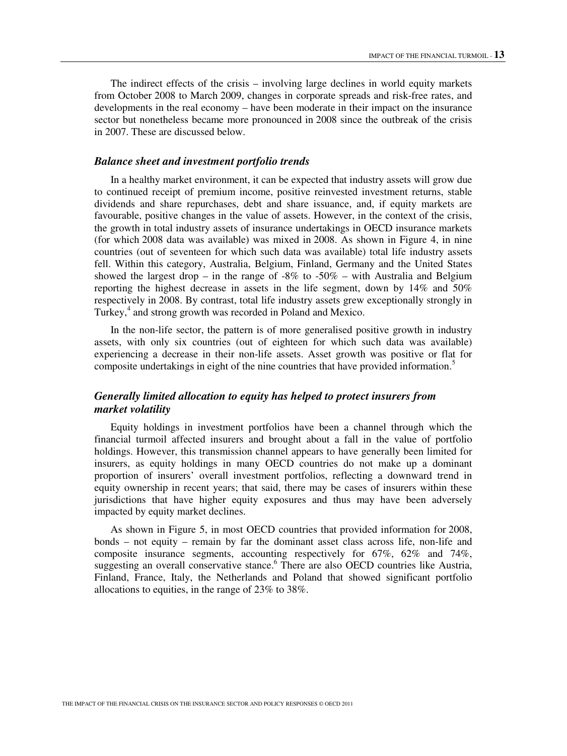The indirect effects of the crisis – involving large declines in world equity markets from October 2008 to March 2009, changes in corporate spreads and risk-free rates, and developments in the real economy – have been moderate in their impact on the insurance sector but nonetheless became more pronounced in 2008 since the outbreak of the crisis in 2007. These are discussed below.

### *Balance sheet and investment portfolio trends*

In a healthy market environment, it can be expected that industry assets will grow due to continued receipt of premium income, positive reinvested investment returns, stable dividends and share repurchases, debt and share issuance, and, if equity markets are favourable, positive changes in the value of assets. However, in the context of the crisis, the growth in total industry assets of insurance undertakings in OECD insurance markets (for which 2008 data was available) was mixed in 2008. As shown in Figure 4, in nine countries (out of seventeen for which such data was available) total life industry assets fell. Within this category, Australia, Belgium, Finland, Germany and the United States showed the largest drop – in the range of  $-8\%$  to  $-50\%$  – with Australia and Belgium reporting the highest decrease in assets in the life segment, down by 14% and 50% respectively in 2008. By contrast, total life industry assets grew exceptionally strongly in Turkey,<sup>4</sup> and strong growth was recorded in Poland and Mexico.

In the non-life sector, the pattern is of more generalised positive growth in industry assets, with only six countries (out of eighteen for which such data was available) experiencing a decrease in their non-life assets. Asset growth was positive or flat for composite undertakings in eight of the nine countries that have provided information.<sup>5</sup>

# *Generally limited allocation to equity has helped to protect insurers from market volatility*

Equity holdings in investment portfolios have been a channel through which the financial turmoil affected insurers and brought about a fall in the value of portfolio holdings. However, this transmission channel appears to have generally been limited for insurers, as equity holdings in many OECD countries do not make up a dominant proportion of insurers' overall investment portfolios, reflecting a downward trend in equity ownership in recent years; that said, there may be cases of insurers within these jurisdictions that have higher equity exposures and thus may have been adversely impacted by equity market declines.

As shown in Figure 5, in most OECD countries that provided information for 2008, bonds – not equity – remain by far the dominant asset class across life, non-life and composite insurance segments, accounting respectively for 67%, 62% and 74%, suggesting an overall conservative stance.<sup>6</sup> There are also OECD countries like Austria, Finland, France, Italy, the Netherlands and Poland that showed significant portfolio allocations to equities, in the range of 23% to 38%.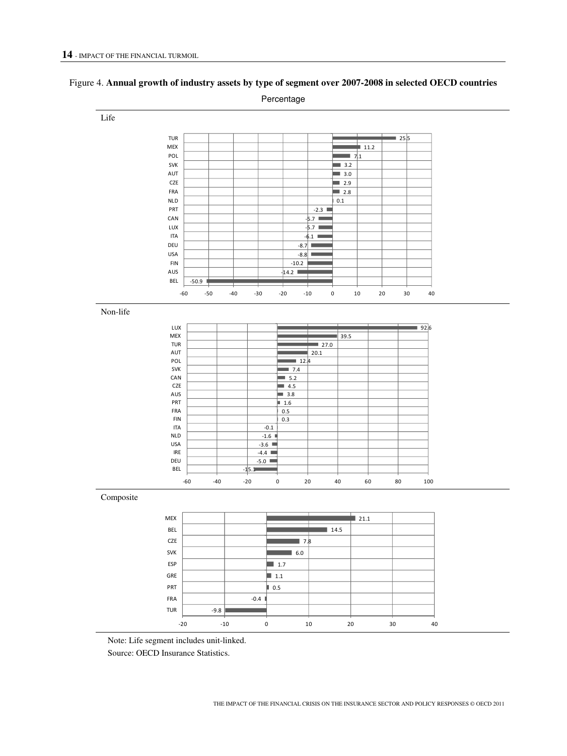# Figure 4. **Annual growth of industry assets by type of segment over 2007-2008 in selected OECD countries**

Percentage

| Life      |             |                |       |         |                    |                    |                     |                                        |                 |        |                              |      |
|-----------|-------------|----------------|-------|---------|--------------------|--------------------|---------------------|----------------------------------------|-----------------|--------|------------------------------|------|
|           |             |                |       |         |                    |                    |                     |                                        |                 |        | $\overline{\phantom{1}}$ 255 |      |
|           | TUR         |                |       |         |                    |                    |                     |                                        |                 |        |                              |      |
|           | MEX<br>POL  |                |       |         |                    |                    |                     |                                        | $11.2\,$<br>7.1 |        |                              |      |
|           | SVK         |                |       |         |                    |                    |                     |                                        |                 |        |                              |      |
|           | AUT         |                |       |         |                    |                    |                     | $\blacksquare$ 3.2<br>$\overline{3.0}$ |                 |        |                              |      |
|           | $CZE$       |                |       |         |                    |                    |                     | $\overline{\phantom{0}}$ 2.9           |                 |        |                              |      |
|           | FRA         |                |       |         |                    |                    |                     | $\blacksquare$ 2.8                     |                 |        |                              |      |
|           | <b>NLD</b>  |                |       |         |                    |                    |                     | $\rm 0.1$                              |                 |        |                              |      |
|           | PRT         |                |       |         |                    |                    | $-2.3$              |                                        |                 |        |                              |      |
|           | CAN         |                |       |         |                    |                    | $-5.7$<br>J.        |                                        |                 |        |                              |      |
|           | LUX         |                |       |         |                    |                    | $-5.7$              |                                        |                 |        |                              |      |
|           | <b>ITA</b>  |                |       |         |                    |                    | $-6.1$              |                                        |                 |        |                              |      |
|           | DEU         |                |       |         |                    | $-8.7$             | ٠                   |                                        |                 |        |                              |      |
|           | <b>USA</b>  |                |       |         |                    | $-8.8$             |                     |                                        |                 |        |                              |      |
|           | FIN         |                |       |         |                    | $-10.2$            |                     |                                        |                 |        |                              |      |
|           | AUS         |                |       |         |                    | $-14.2$            |                     |                                        |                 |        |                              |      |
|           | BEL         | $-50.9$        |       |         |                    |                    |                     |                                        |                 |        |                              |      |
|           |             | $-60$<br>$-50$ |       | $-40$   | $-30$              | $-20$              | $-10$               | $\pmb{0}$                              | $10\,$          | $20\,$ | 30                           | 40   |
| Non-life  |             |                |       |         |                    |                    |                     |                                        |                 |        |                              |      |
|           | LUX         |                |       |         |                    |                    |                     |                                        |                 |        |                              | 92.6 |
|           | ${\sf MEX}$ |                |       |         |                    |                    |                     | 39.5                                   |                 |        |                              |      |
|           | <b>TUR</b>  |                |       |         |                    |                    | $\blacksquare$ 27.0 |                                        |                 |        |                              |      |
|           | AUT         |                |       |         |                    |                    | 20.1                |                                        |                 |        |                              |      |
|           | POL         |                |       |         |                    | 12.4<br>U,         |                     |                                        |                 |        |                              |      |
|           | SVK         |                |       |         |                    | 7.4                |                     |                                        |                 |        |                              |      |
|           | CAN         |                |       |         |                    | $\blacksquare$ 5.2 |                     |                                        |                 |        |                              |      |
|           | CZE         |                |       |         |                    | 4.5                |                     |                                        |                 |        |                              |      |
|           | AUS         |                |       |         |                    | 3.8                |                     |                                        |                 |        |                              |      |
|           | PRT         |                |       |         |                    | $1.6\,$            |                     |                                        |                 |        |                              |      |
|           | FRA<br>FIN  |                |       |         |                    | $0.5\,$            |                     |                                        |                 |        |                              |      |
|           | <b>ITA</b>  |                |       |         | $-0.1$             | $0.3\,$            |                     |                                        |                 |        |                              |      |
|           | <b>NLD</b>  |                |       |         | $-1.6$             |                    |                     |                                        |                 |        |                              |      |
|           | <b>USA</b>  |                |       |         | $-3.6$             |                    |                     |                                        |                 |        |                              |      |
|           | IRE         |                |       |         | $-4.4$             |                    |                     |                                        |                 |        |                              |      |
|           | DEU         |                |       |         | $-5.0$             |                    |                     |                                        |                 |        |                              |      |
|           | <b>BEL</b>  |                |       | $-15.1$ |                    |                    |                     |                                        |                 |        |                              |      |
|           |             | $-60$          | $-40$ | $-20$   |                    | $\pmb{0}$          | $20\,$              | $40\,$                                 | 60              |        | 80                           | 100  |
| Composite |             |                |       |         |                    |                    |                     |                                        |                 |        |                              |      |
|           | ${\sf MEX}$ |                |       |         |                    |                    |                     |                                        | 21.1            |        |                              |      |
|           | BEL         |                |       |         |                    |                    | $\blacksquare$ 14.5 |                                        |                 |        |                              |      |
|           |             |                |       |         |                    |                    |                     |                                        |                 |        |                              |      |
|           | CZE         |                |       |         |                    | $\blacksquare$ 7.8 |                     |                                        |                 |        |                              |      |
|           | <b>SVK</b>  |                |       |         |                    | $\blacksquare$ 6.0 |                     |                                        |                 |        |                              |      |
|           | ESP         |                |       |         |                    | $\blacksquare$ 1.7 |                     |                                        |                 |        |                              |      |
|           | GRE         |                |       |         | $\blacksquare$ 1.1 |                    |                     |                                        |                 |        |                              |      |
|           |             |                |       |         |                    |                    |                     |                                        |                 |        |                              |      |
|           | PRT         |                |       |         | 0.5<br>H.          |                    |                     |                                        |                 |        |                              |      |

Note: Life segment includes unit-linked.

TUR FRA

-9.8

-0.4

-20 -10 0 10 20 30 40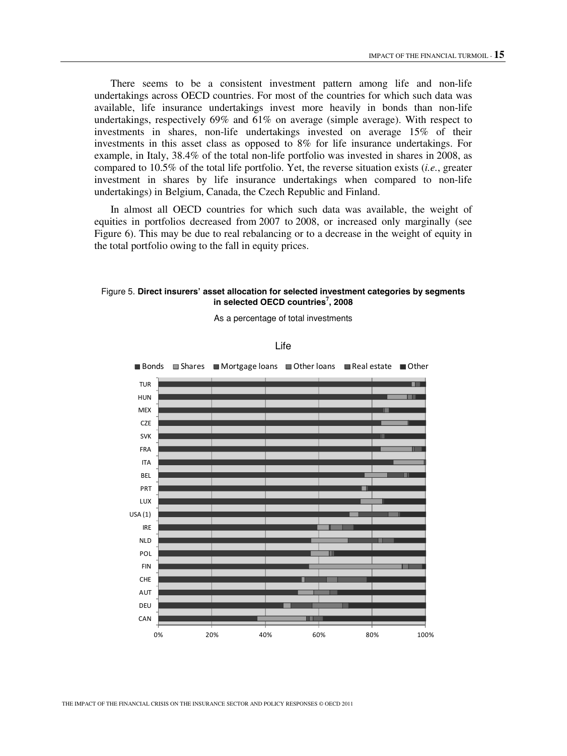There seems to be a consistent investment pattern among life and non-life undertakings across OECD countries. For most of the countries for which such data was available, life insurance undertakings invest more heavily in bonds than non-life undertakings, respectively 69% and 61% on average (simple average). With respect to investments in shares, non-life undertakings invested on average 15% of their investments in this asset class as opposed to 8% for life insurance undertakings. For example, in Italy, 38.4% of the total non-life portfolio was invested in shares in 2008, as compared to 10.5% of the total life portfolio. Yet, the reverse situation exists (*i.e.*, greater investment in shares by life insurance undertakings when compared to non-life undertakings) in Belgium, Canada, the Czech Republic and Finland.

In almost all OECD countries for which such data was available, the weight of equities in portfolios decreased from 2007 to 2008, or increased only marginally (see Figure 6). This may be due to real rebalancing or to a decrease in the weight of equity in the total portfolio owing to the fall in equity prices.

### Figure 5. **Direct insurers' asset allocation for selected investment categories by segments in selected OECD countries<sup>7</sup> , 2008**



As a percentage of total investments

Life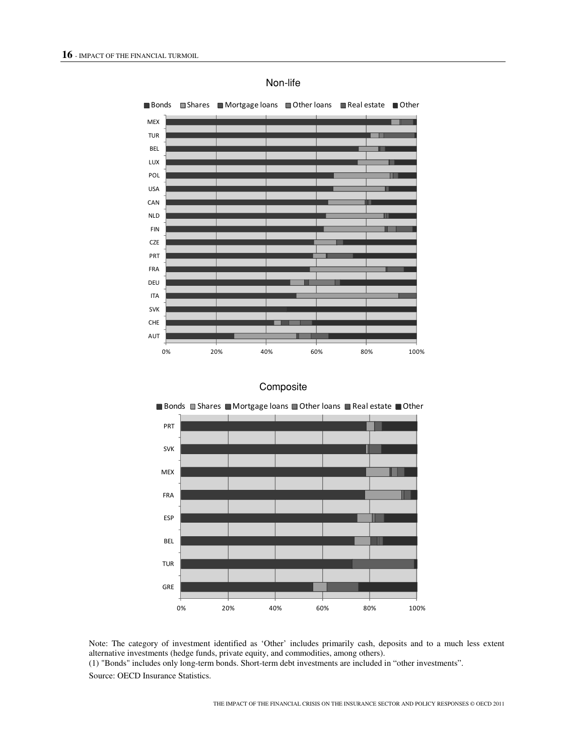

Non-life

**Composite** 



■ Bonds ■ Shares ■ Mortgage loans ■ Other loans ■ Real estate ■ Other

Note: The category of investment identified as 'Other' includes primarily cash, deposits and to a much less extent alternative investments (hedge funds, private equity, and commodities, among others).

(1) "Bonds" includes only long-term bonds. Short-term debt investments are included in "other investments".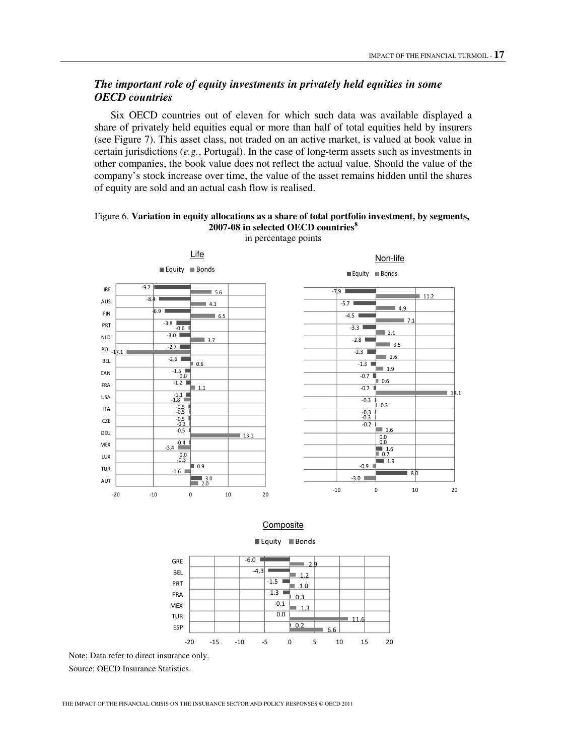# *The important role of equity investments in privately held equities in some OECD countries*

Six OECD countries out of eleven for which such data was available displayed a share of privately held equities equal or more than half of total equities held by insurers (see Figure 7). This asset class, not traded on an active market, is valued at book value in certain jurisdictions (*e.g.*, Portugal). In the case of long-term assets such as investments in other companies, the book value does not reflect the actual value. Should the value of the company's stock increase over time, the value of the asset remains hidden until the shares of equity are sold and an actual cash flow is realised.

### Figure 6. **Variation in equity allocations as a share of total portfolio investment, by segments, 2007-08 in selected OECD countries<sup>8</sup>**



#### **Composite**

Equity **Bonds** 



Note: Data refer to direct insurance only.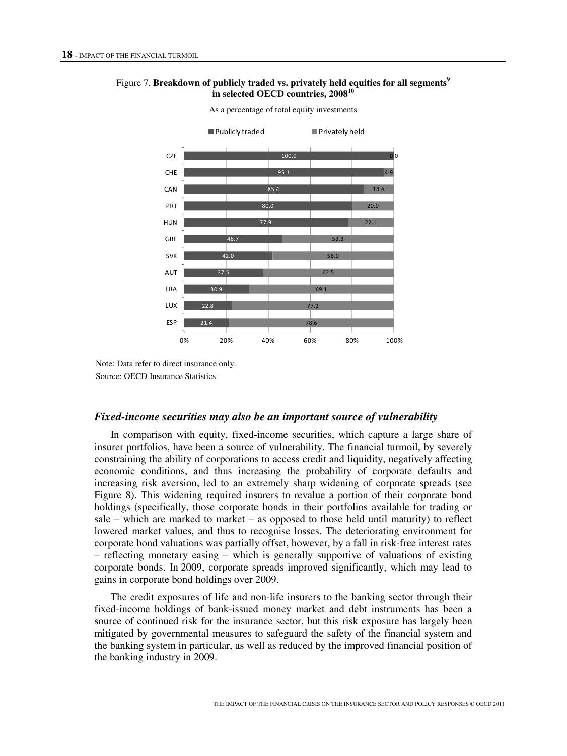### Figure 7. **Breakdown of publicly traded vs. privately held equities for all segments<sup>9</sup> in selected OECD countries, 200810**



As a percentage of total equity investments

Note: Data refer to direct insurance only. Source: OECD Insurance Statistics.

#### *Fixed-income securities may also be an important source of vulnerability*

In comparison with equity, fixed-income securities, which capture a large share of insurer portfolios, have been a source of vulnerability. The financial turmoil, by severely constraining the ability of corporations to access credit and liquidity, negatively affecting economic conditions, and thus increasing the probability of corporate defaults and increasing risk aversion, led to an extremely sharp widening of corporate spreads (see Figure 8). This widening required insurers to revalue a portion of their corporate bond holdings (specifically, those corporate bonds in their portfolios available for trading or sale – which are marked to market – as opposed to those held until maturity) to reflect lowered market values, and thus to recognise losses. The deteriorating environment for corporate bond valuations was partially offset, however, by a fall in risk-free interest rates – reflecting monetary easing – which is generally supportive of valuations of existing corporate bonds. In 2009, corporate spreads improved significantly, which may lead to gains in corporate bond holdings over 2009.

The credit exposures of life and non-life insurers to the banking sector through their fixed-income holdings of bank-issued money market and debt instruments has been a source of continued risk for the insurance sector, but this risk exposure has largely been mitigated by governmental measures to safeguard the safety of the financial system and the banking system in particular, as well as reduced by the improved financial position of the banking industry in 2009.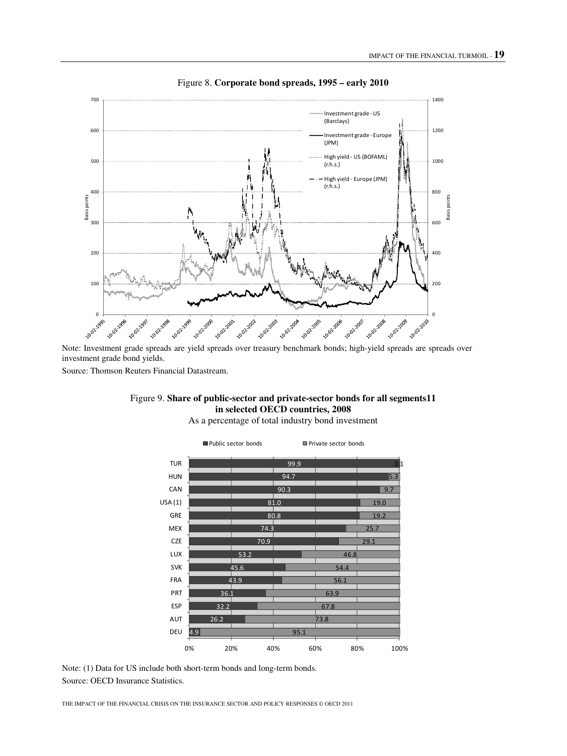

Figure 8. **Corporate bond spreads, 1995 – early 2010** 

Note: Investment grade spreads are yield spreads over treasury benchmark bonds; high-yield spreads are spreads over investment grade bond yields.

Source: Thomson Reuters Financial Datastream.







Note: (1) Data for US include both short-term bonds and long-term bonds. Source: OECD Insurance Statistics.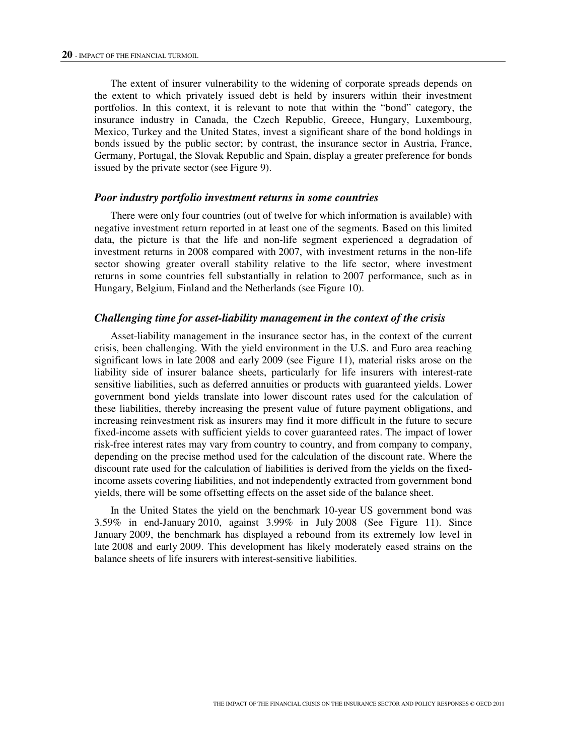The extent of insurer vulnerability to the widening of corporate spreads depends on the extent to which privately issued debt is held by insurers within their investment portfolios. In this context, it is relevant to note that within the "bond" category, the insurance industry in Canada, the Czech Republic, Greece, Hungary, Luxembourg, Mexico, Turkey and the United States, invest a significant share of the bond holdings in bonds issued by the public sector; by contrast, the insurance sector in Austria, France, Germany, Portugal, the Slovak Republic and Spain, display a greater preference for bonds issued by the private sector (see Figure 9).

### *Poor industry portfolio investment returns in some countries*

There were only four countries (out of twelve for which information is available) with negative investment return reported in at least one of the segments. Based on this limited data, the picture is that the life and non-life segment experienced a degradation of investment returns in 2008 compared with 2007, with investment returns in the non-life sector showing greater overall stability relative to the life sector, where investment returns in some countries fell substantially in relation to 2007 performance, such as in Hungary, Belgium, Finland and the Netherlands (see Figure 10).

### *Challenging time for asset-liability management in the context of the crisis*

Asset-liability management in the insurance sector has, in the context of the current crisis, been challenging. With the yield environment in the U.S. and Euro area reaching significant lows in late 2008 and early 2009 (see Figure 11), material risks arose on the liability side of insurer balance sheets, particularly for life insurers with interest-rate sensitive liabilities, such as deferred annuities or products with guaranteed yields. Lower government bond yields translate into lower discount rates used for the calculation of these liabilities, thereby increasing the present value of future payment obligations, and increasing reinvestment risk as insurers may find it more difficult in the future to secure fixed-income assets with sufficient yields to cover guaranteed rates. The impact of lower risk-free interest rates may vary from country to country, and from company to company, depending on the precise method used for the calculation of the discount rate. Where the discount rate used for the calculation of liabilities is derived from the yields on the fixedincome assets covering liabilities, and not independently extracted from government bond yields, there will be some offsetting effects on the asset side of the balance sheet.

In the United States the yield on the benchmark 10-year US government bond was 3.59% in end-January 2010, against 3.99% in July 2008 (See Figure 11). Since January 2009, the benchmark has displayed a rebound from its extremely low level in late 2008 and early 2009. This development has likely moderately eased strains on the balance sheets of life insurers with interest-sensitive liabilities.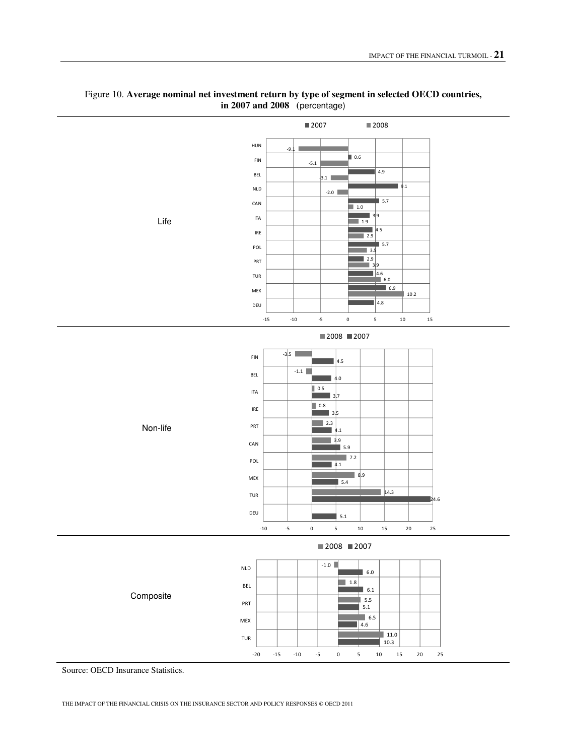

### Figure 10. **Average nominal net investment return by type of segment in selected OECD countries, in 2007 and 2008 (**percentage)

THE IMPACT OF THE FINANCIAL CRISIS ON THE INSURANCE SECTOR AND POLICY RESPONSES © OECD 2011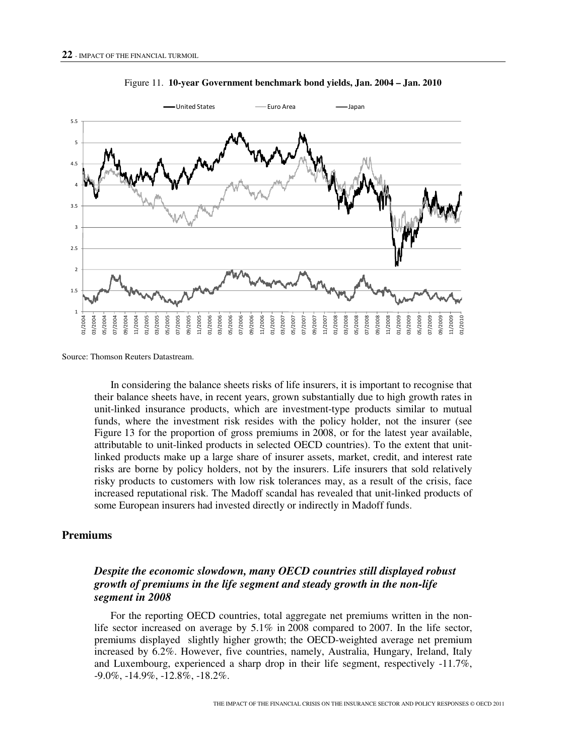

Figure 11. **10-year Government benchmark bond yields, Jan. 2004 – Jan. 2010** 

Source: Thomson Reuters Datastream.

In considering the balance sheets risks of life insurers, it is important to recognise that their balance sheets have, in recent years, grown substantially due to high growth rates in unit-linked insurance products, which are investment-type products similar to mutual funds, where the investment risk resides with the policy holder, not the insurer (see Figure 13 for the proportion of gross premiums in 2008, or for the latest year available, attributable to unit-linked products in selected OECD countries). To the extent that unitlinked products make up a large share of insurer assets, market, credit, and interest rate risks are borne by policy holders, not by the insurers. Life insurers that sold relatively risky products to customers with low risk tolerances may, as a result of the crisis, face increased reputational risk. The Madoff scandal has revealed that unit-linked products of some European insurers had invested directly or indirectly in Madoff funds.

## **Premiums**

# *Despite the economic slowdown, many OECD countries still displayed robust growth of premiums in the life segment and steady growth in the non-life segment in 2008*

For the reporting OECD countries, total aggregate net premiums written in the nonlife sector increased on average by 5.1% in 2008 compared to 2007. In the life sector, premiums displayed slightly higher growth; the OECD-weighted average net premium increased by 6.2%. However, five countries, namely, Australia, Hungary, Ireland, Italy and Luxembourg, experienced a sharp drop in their life segment, respectively -11.7%, -9.0%, -14.9%, -12.8%, -18.2%.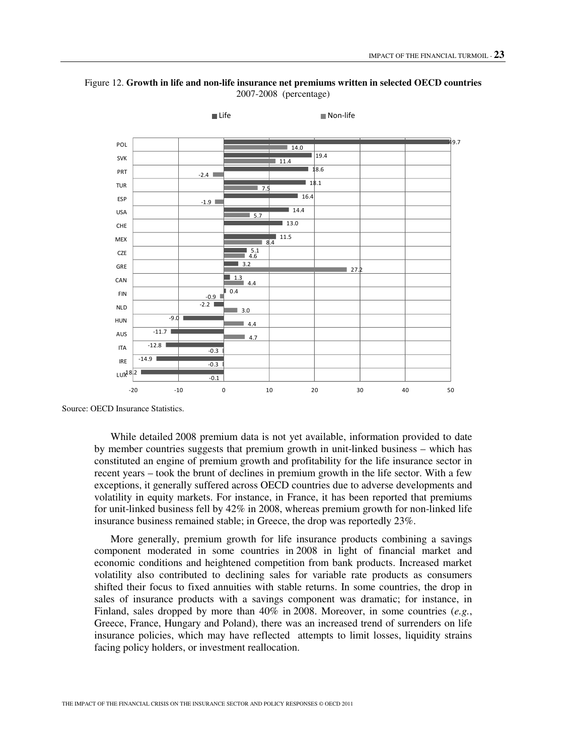



■Life Non-life

Source: OECD Insurance Statistics.

While detailed 2008 premium data is not yet available, information provided to date by member countries suggests that premium growth in unit-linked business – which has constituted an engine of premium growth and profitability for the life insurance sector in recent years – took the brunt of declines in premium growth in the life sector. With a few exceptions, it generally suffered across OECD countries due to adverse developments and volatility in equity markets. For instance, in France, it has been reported that premiums for unit-linked business fell by 42% in 2008, whereas premium growth for non-linked life insurance business remained stable; in Greece, the drop was reportedly 23%.

More generally, premium growth for life insurance products combining a savings component moderated in some countries in 2008 in light of financial market and economic conditions and heightened competition from bank products. Increased market volatility also contributed to declining sales for variable rate products as consumers shifted their focus to fixed annuities with stable returns. In some countries, the drop in sales of insurance products with a savings component was dramatic; for instance, in Finland, sales dropped by more than 40% in 2008. Moreover, in some countries (*e.g.*, Greece, France, Hungary and Poland), there was an increased trend of surrenders on life insurance policies, which may have reflected attempts to limit losses, liquidity strains facing policy holders, or investment reallocation.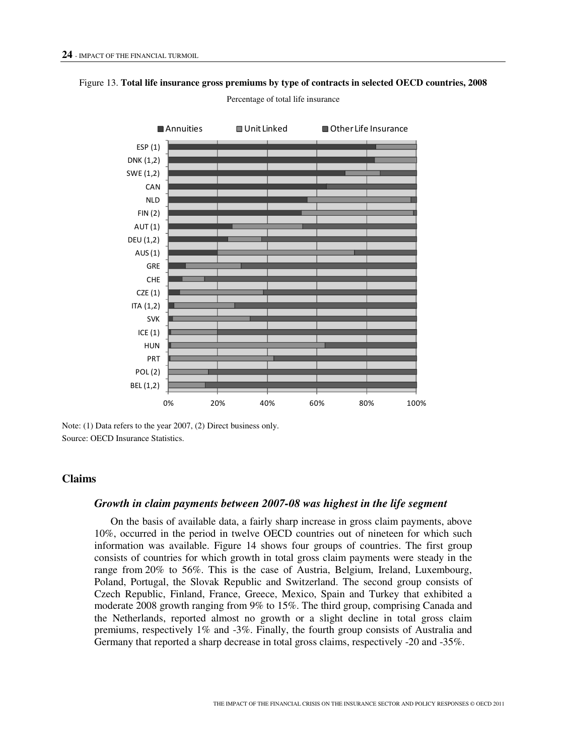



Percentage of total life insurance

Note: (1) Data refers to the year 2007, (2) Direct business only. Source: OECD Insurance Statistics.

## **Claims**

### *Growth in claim payments between 2007-08 was highest in the life segment*

On the basis of available data, a fairly sharp increase in gross claim payments, above 10%, occurred in the period in twelve OECD countries out of nineteen for which such information was available. Figure 14 shows four groups of countries. The first group consists of countries for which growth in total gross claim payments were steady in the range from 20% to 56%. This is the case of Austria, Belgium, Ireland, Luxembourg, Poland, Portugal, the Slovak Republic and Switzerland. The second group consists of Czech Republic, Finland, France, Greece, Mexico, Spain and Turkey that exhibited a moderate 2008 growth ranging from 9% to 15%. The third group, comprising Canada and the Netherlands, reported almost no growth or a slight decline in total gross claim premiums, respectively 1% and -3%. Finally, the fourth group consists of Australia and Germany that reported a sharp decrease in total gross claims, respectively -20 and -35%.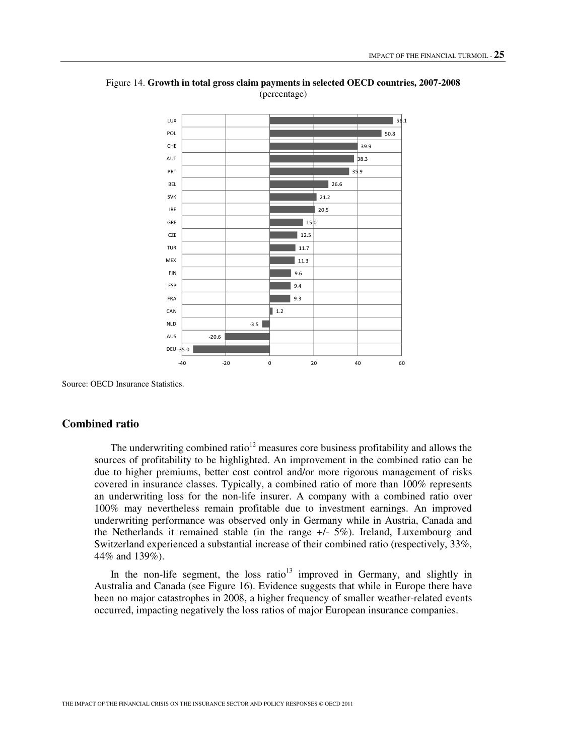

Figure 14. **Growth in total gross claim payments in selected OECD countries, 2007-2008**  (percentage)

Source: OECD Insurance Statistics.

## **Combined ratio**

The underwriting combined ratio<sup>12</sup> measures core business profitability and allows the sources of profitability to be highlighted. An improvement in the combined ratio can be due to higher premiums, better cost control and/or more rigorous management of risks covered in insurance classes. Typically, a combined ratio of more than 100% represents an underwriting loss for the non-life insurer. A company with a combined ratio over 100% may nevertheless remain profitable due to investment earnings. An improved underwriting performance was observed only in Germany while in Austria, Canada and the Netherlands it remained stable (in the range +/- 5%). Ireland, Luxembourg and Switzerland experienced a substantial increase of their combined ratio (respectively, 33%, 44% and 139%).

In the non-life segment, the loss ratio<sup>13</sup> improved in Germany, and slightly in Australia and Canada (see Figure 16). Evidence suggests that while in Europe there have been no major catastrophes in 2008, a higher frequency of smaller weather-related events occurred, impacting negatively the loss ratios of major European insurance companies.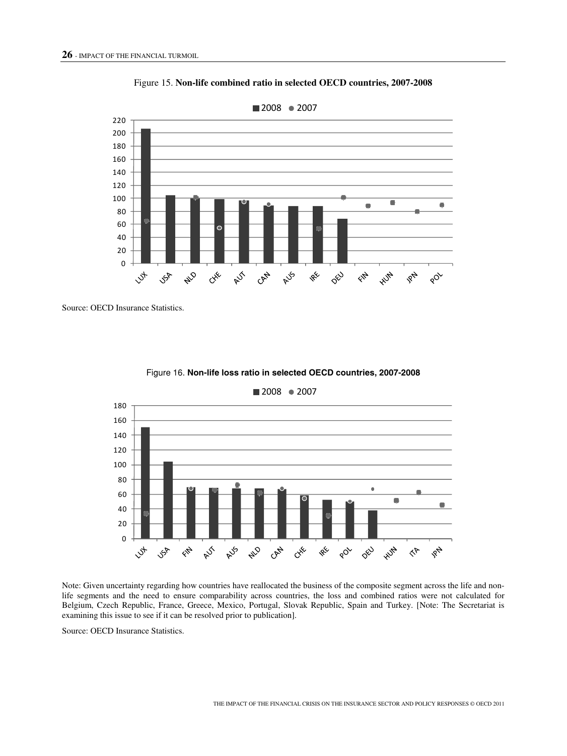

Figure 15. **Non-life combined ratio in selected OECD countries, 2007-2008** 

Source: OECD Insurance Statistics.



Figure 16. **Non-life loss ratio in selected OECD countries, 2007-2008**

 $2008 - 2007$ 

Note: Given uncertainty regarding how countries have reallocated the business of the composite segment across the life and nonlife segments and the need to ensure comparability across countries, the loss and combined ratios were not calculated for Belgium, Czech Republic, France, Greece, Mexico, Portugal, Slovak Republic, Spain and Turkey. [Note: The Secretariat is examining this issue to see if it can be resolved prior to publication].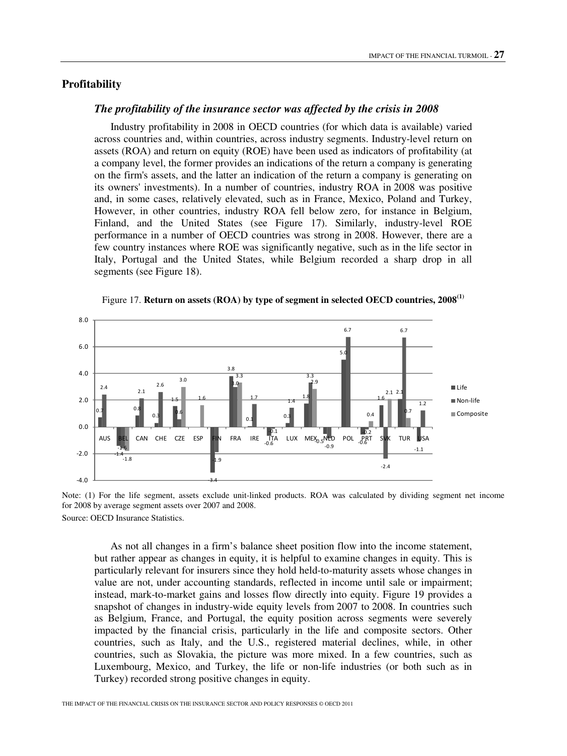### **Profitability**

### *The profitability of the insurance sector was affected by the crisis in 2008*

Industry profitability in 2008 in OECD countries (for which data is available) varied across countries and, within countries, across industry segments. Industry-level return on assets (ROA) and return on equity (ROE) have been used as indicators of profitability (at a company level, the former provides an indications of the return a company is generating on the firm's assets, and the latter an indication of the return a company is generating on its owners' investments). In a number of countries, industry ROA in 2008 was positive and, in some cases, relatively elevated, such as in France, Mexico, Poland and Turkey, However, in other countries, industry ROA fell below zero, for instance in Belgium, Finland, and the United States (see Figure 17). Similarly, industry-level ROE performance in a number of OECD countries was strong in 2008. However, there are a few country instances where ROE was significantly negative, such as in the life sector in Italy, Portugal and the United States, while Belgium recorded a sharp drop in all segments (see Figure 18).



Figure 17. **Return on assets (ROA) by type of segment in selected OECD countries, 2008(1)**

Note: (1) For the life segment, assets exclude unit-linked products. ROA was calculated by dividing segment net income for 2008 by average segment assets over 2007 and 2008. Source: OECD Insurance Statistics.

As not all changes in a firm's balance sheet position flow into the income statement, but rather appear as changes in equity, it is helpful to examine changes in equity. This is particularly relevant for insurers since they hold held-to-maturity assets whose changes in value are not, under accounting standards, reflected in income until sale or impairment; instead, mark-to-market gains and losses flow directly into equity. Figure 19 provides a snapshot of changes in industry-wide equity levels from 2007 to 2008. In countries such as Belgium, France, and Portugal, the equity position across segments were severely impacted by the financial crisis, particularly in the life and composite sectors. Other countries, such as Italy, and the U.S., registered material declines, while, in other countries, such as Slovakia, the picture was more mixed. In a few countries, such as Luxembourg, Mexico, and Turkey, the life or non-life industries (or both such as in Turkey) recorded strong positive changes in equity.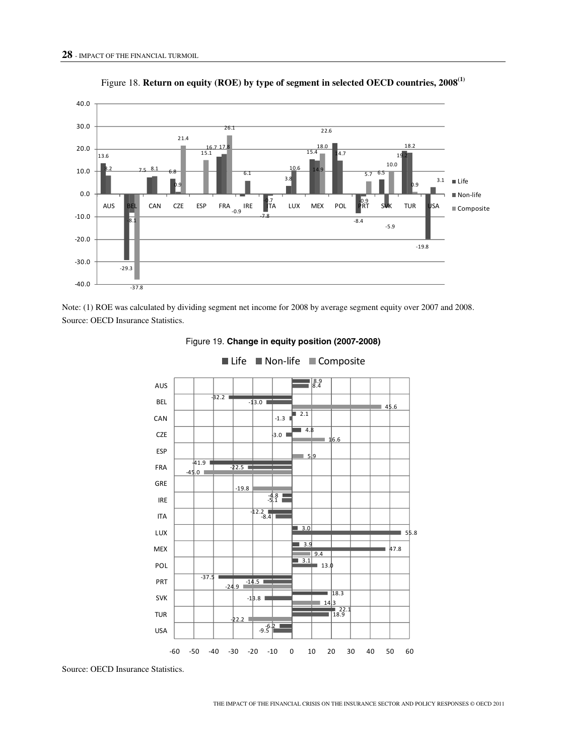

Figure 18. **Return on equity (ROE) by type of segment in selected OECD countries, 2008(1)**

Note: (1) ROE was calculated by dividing segment net income for 2008 by average segment equity over 2007 and 2008. Source: OECD Insurance Statistics.



Life Non-life Composite

Figure 19. **Change in equity position (2007-2008)** 

Source: OECD Insurance Statistics.

THE IMPACT OF THE FINANCIAL CRISIS ON THE INSURANCE SECTOR AND POLICY RESPONSES © OECD 2011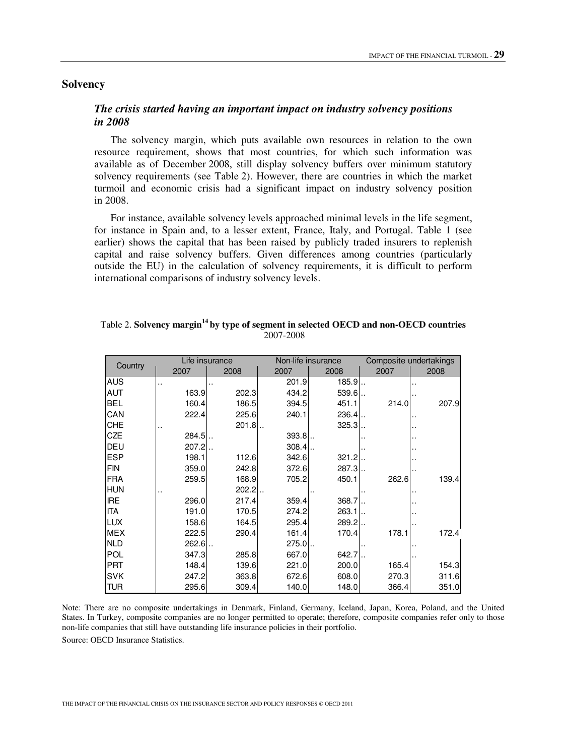### **Solvency**

# *The crisis started having an important impact on industry solvency positions in 2008*

The solvency margin, which puts available own resources in relation to the own resource requirement, shows that most countries, for which such information was available as of December 2008, still display solvency buffers over minimum statutory solvency requirements (see Table 2). However, there are countries in which the market turmoil and economic crisis had a significant impact on industry solvency position in 2008.

For instance, available solvency levels approached minimal levels in the life segment, for instance in Spain and, to a lesser extent, France, Italy, and Portugal. Table 1 (see earlier) shows the capital that has been raised by publicly traded insurers to replenish capital and raise solvency buffers. Given differences among countries (particularly outside the EU) in the calculation of solvency requirements, it is difficult to perform international comparisons of industry solvency levels.

| Table 2. Solvency margin <sup>14</sup> by type of segment in selected OECD and non-OECD countries |
|---------------------------------------------------------------------------------------------------|
| 2007-2008                                                                                         |
|                                                                                                   |

| Country    |                      | Life insurance |           | Non-life insurance | Composite undertakings |       |  |
|------------|----------------------|----------------|-----------|--------------------|------------------------|-------|--|
|            | 2007                 | 2008           | 2007      | 2008               | 2007                   | 2008  |  |
| <b>AUS</b> | $\ddot{\phantom{a}}$ | . .            | 201.9     | $185.9$            |                        |       |  |
| <b>AUT</b> | 163.9                | 202.3          | 434.2     | $539.6$ .          |                        |       |  |
| <b>BEL</b> | 160.4                | 186.5          | 394.5     | 451.1              | 214.0                  | 207.9 |  |
| CAN        | 222.4                | 225.6          | 240.1     | $236.4$            |                        |       |  |
| <b>CHE</b> | . .                  | $201.8$ .      |           | $325.3$            |                        |       |  |
| CZE        | $284.5$ .            |                | $393.8$ . |                    |                        |       |  |
| <b>DEU</b> | $207.2$ .            |                | $308.4$   |                    |                        |       |  |
| <b>ESP</b> | 198.1                | 112.6          | 342.6     | $321.2$            |                        |       |  |
| <b>FIN</b> | 359.0                | 242.8          | 372.6     | $287.3$ .          |                        |       |  |
| <b>FRA</b> | 259.5                | 168.9          | 705.2     | 450.1              | 262.6                  | 139.4 |  |
| <b>HUN</b> |                      | $202.2$        |           |                    |                        |       |  |
| <b>IRE</b> | 296.0                | 217.4          | 359.4     | $368.7$            |                        |       |  |
| <b>ITA</b> | 191.0                | 170.5          | 274.2     | $263.1$            |                        |       |  |
| <b>LUX</b> | 158.6                | 164.5          | 295.4     | $289.2$ .          |                        |       |  |
| <b>MEX</b> | 222.5                | 290.4          | 161.4     | 170.4              | 178.1                  | 172.4 |  |
| <b>NLD</b> | $262.6$              |                | $275.0$   |                    |                        |       |  |
| <b>POL</b> | 347.3                | 285.8          | 667.0     | $642.7$            |                        |       |  |
| <b>PRT</b> | 148.4                | 139.6          | 221.0     | 200.0              | 165.4                  | 154.3 |  |
| <b>SVK</b> | 247.2                | 363.8          | 672.6     | 608.0              | 270.3                  | 311.6 |  |
| <b>TUR</b> | 295.6                | 309.4          | 140.0     | 148.0              | 366.4                  | 351.0 |  |

Note: There are no composite undertakings in Denmark, Finland, Germany, Iceland, Japan, Korea, Poland, and the United States. In Turkey, composite companies are no longer permitted to operate; therefore, composite companies refer only to those non-life companies that still have outstanding life insurance policies in their portfolio.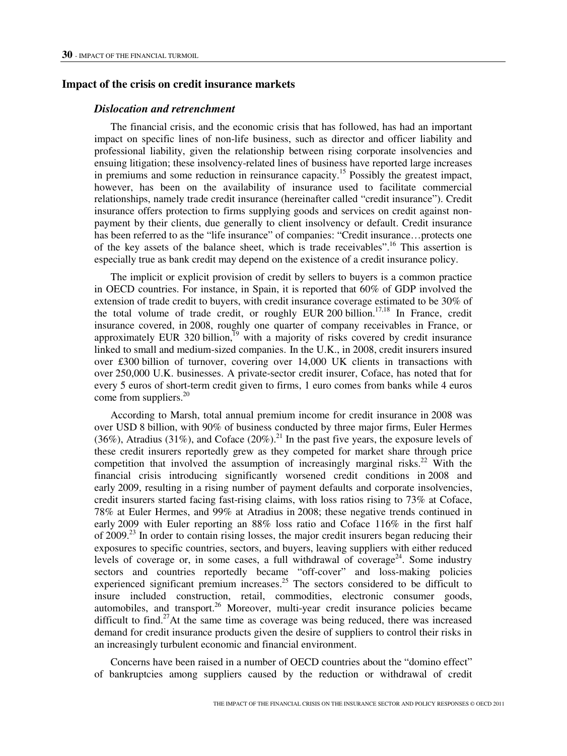# **Impact of the crisis on credit insurance markets**

### *Dislocation and retrenchment*

The financial crisis, and the economic crisis that has followed, has had an important impact on specific lines of non-life business, such as director and officer liability and professional liability, given the relationship between rising corporate insolvencies and ensuing litigation; these insolvency-related lines of business have reported large increases in premiums and some reduction in reinsurance capacity.15 Possibly the greatest impact, however, has been on the availability of insurance used to facilitate commercial relationships, namely trade credit insurance (hereinafter called "credit insurance"). Credit insurance offers protection to firms supplying goods and services on credit against nonpayment by their clients, due generally to client insolvency or default. Credit insurance has been referred to as the "life insurance" of companies: "Credit insurance…protects one of the key assets of the balance sheet, which is trade receivables".16 This assertion is especially true as bank credit may depend on the existence of a credit insurance policy.

The implicit or explicit provision of credit by sellers to buyers is a common practice in OECD countries. For instance, in Spain, it is reported that 60% of GDP involved the extension of trade credit to buyers, with credit insurance coverage estimated to be 30% of the total volume of trade credit, or roughly EUR 200 billion.<sup>17,18</sup> In France, credit insurance covered, in 2008, roughly one quarter of company receivables in France, or approximately EUR 320 billion,<sup>19</sup> with a majority of risks covered by credit insurance linked to small and medium-sized companies. In the U.K., in 2008, credit insurers insured over £300 billion of turnover, covering over 14,000 UK clients in transactions with over 250,000 U.K. businesses. A private-sector credit insurer, Coface, has noted that for every 5 euros of short-term credit given to firms, 1 euro comes from banks while 4 euros come from suppliers.<sup>20</sup>

According to Marsh, total annual premium income for credit insurance in 2008 was over USD 8 billion, with 90% of business conducted by three major firms, Euler Hermes (36%), Atradius (31%), and Coface (20%).<sup>21</sup> In the past five years, the exposure levels of these credit insurers reportedly grew as they competed for market share through price competition that involved the assumption of increasingly marginal risks.<sup>22</sup> With the financial crisis introducing significantly worsened credit conditions in 2008 and early 2009, resulting in a rising number of payment defaults and corporate insolvencies, credit insurers started facing fast-rising claims, with loss ratios rising to 73% at Coface, 78% at Euler Hermes, and 99% at Atradius in 2008; these negative trends continued in early 2009 with Euler reporting an 88% loss ratio and Coface 116% in the first half of  $2009<sup>23</sup>$  In order to contain rising losses, the major credit insurers began reducing their exposures to specific countries, sectors, and buyers, leaving suppliers with either reduced levels of coverage or, in some cases, a full withdrawal of coverage<sup>24</sup>. Some industry sectors and countries reportedly became "off-cover" and loss-making policies experienced significant premium increases.<sup>25</sup> The sectors considered to be difficult to insure included construction, retail, commodities, electronic consumer goods, automobiles, and transport.<sup>26</sup> Moreover, multi-year credit insurance policies became difficult to find.<sup>27</sup>At the same time as coverage was being reduced, there was increased demand for credit insurance products given the desire of suppliers to control their risks in an increasingly turbulent economic and financial environment.

Concerns have been raised in a number of OECD countries about the "domino effect" of bankruptcies among suppliers caused by the reduction or withdrawal of credit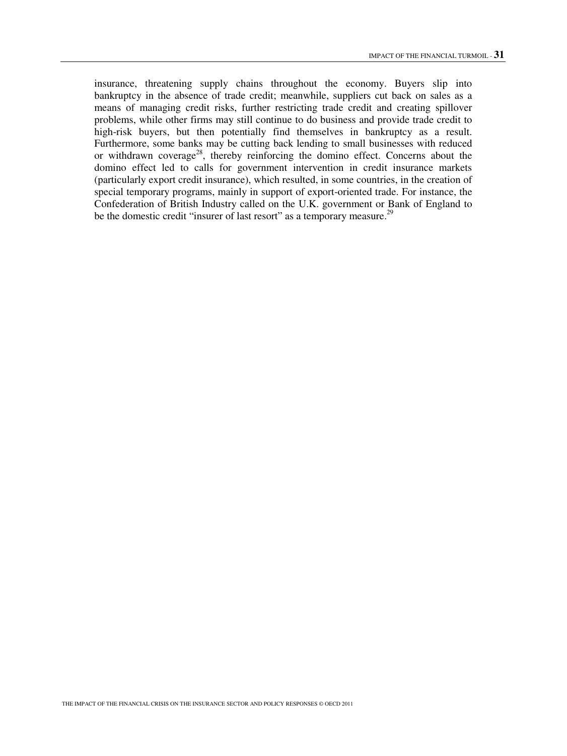insurance, threatening supply chains throughout the economy. Buyers slip into bankruptcy in the absence of trade credit; meanwhile, suppliers cut back on sales as a means of managing credit risks, further restricting trade credit and creating spillover problems, while other firms may still continue to do business and provide trade credit to high-risk buyers, but then potentially find themselves in bankruptcy as a result. Furthermore, some banks may be cutting back lending to small businesses with reduced or withdrawn coverage<sup>28</sup>, thereby reinforcing the domino effect. Concerns about the domino effect led to calls for government intervention in credit insurance markets (particularly export credit insurance), which resulted, in some countries, in the creation of special temporary programs, mainly in support of export-oriented trade. For instance, the Confederation of British Industry called on the U.K. government or Bank of England to be the domestic credit "insurer of last resort" as a temporary measure.<sup>29</sup>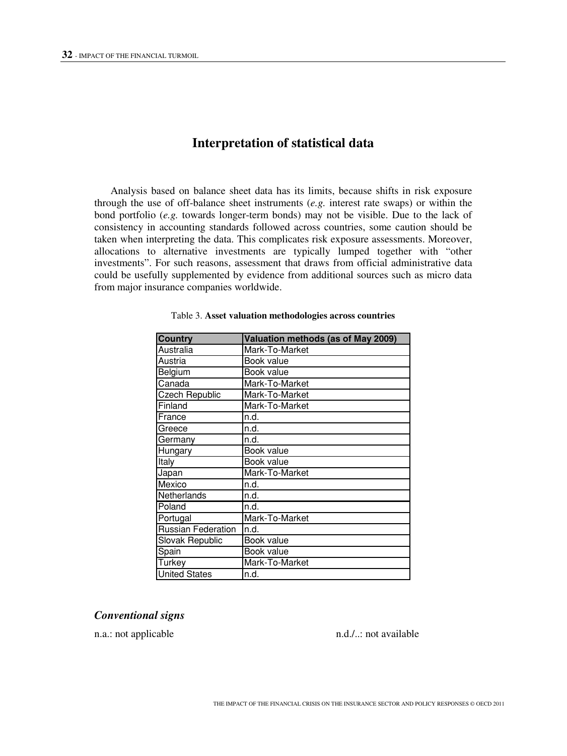# **Interpretation of statistical data**

Analysis based on balance sheet data has its limits, because shifts in risk exposure through the use of off-balance sheet instruments (*e.g.* interest rate swaps) or within the bond portfolio (*e.g.* towards longer-term bonds) may not be visible. Due to the lack of consistency in accounting standards followed across countries, some caution should be taken when interpreting the data. This complicates risk exposure assessments. Moreover, allocations to alternative investments are typically lumped together with "other investments". For such reasons, assessment that draws from official administrative data could be usefully supplemented by evidence from additional sources such as micro data from major insurance companies worldwide.

| <b>Country</b>            | <b>Valuation methods (as of May 2009)</b> |
|---------------------------|-------------------------------------------|
| Australia                 | Mark-To-Market                            |
| Austria                   | Book value                                |
| Belgium                   | Book value                                |
| Canada                    | Mark-To-Market                            |
| <b>Czech Republic</b>     | Mark-To-Market                            |
| Finland                   | Mark-To-Market                            |
| France                    | n.d.                                      |
| Greece                    | n.d.                                      |
| Germany                   | n.d.                                      |
| Hungary                   | Book value                                |
| Italy                     | Book value                                |
| Japan                     | Mark-To-Market                            |
| Mexico                    | n.d.                                      |
| Netherlands               | n.d.                                      |
| Poland                    | n.d.                                      |
| Portugal                  | Mark-To-Market                            |
| <b>Russian Federation</b> | n.d.                                      |
| Slovak Republic           | Book value                                |
| Spain                     | Book value                                |
| Turkey                    | Mark-To-Market                            |
| <b>United States</b>      | n.d.                                      |

#### Table 3. **Asset valuation methodologies across countries**

# *Conventional signs*

n.a.: not applicable n.a.: not available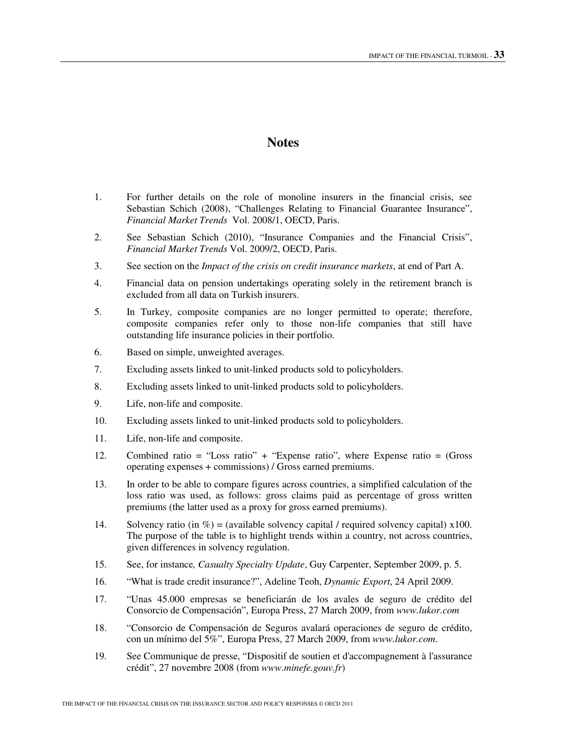## **Notes**

- 1. For further details on the role of monoline insurers in the financial crisis, see Sebastian Schich (2008), "Challenges Relating to Financial Guarantee Insurance", *Financial Market Trends* Vol. 2008/1, OECD, Paris.
- 2. See Sebastian Schich (2010), "Insurance Companies and the Financial Crisis", *Financial Market Trends* Vol. 2009/2, OECD, Paris.
- 3. See section on the *Impact of the crisis on credit insurance markets*, at end of Part A.
- 4. Financial data on pension undertakings operating solely in the retirement branch is excluded from all data on Turkish insurers.
- 5. In Turkey, composite companies are no longer permitted to operate; therefore, composite companies refer only to those non-life companies that still have outstanding life insurance policies in their portfolio.
- 6. Based on simple, unweighted averages.
- 7. Excluding assets linked to unit-linked products sold to policyholders.
- 8. Excluding assets linked to unit-linked products sold to policyholders.
- 9. Life, non-life and composite.
- 10. Excluding assets linked to unit-linked products sold to policyholders.
- 11. Life, non-life and composite.
- 12. Combined ratio = "Loss ratio" + "Expense ratio", where Expense ratio = (Gross operating expenses + commissions) / Gross earned premiums.
- 13. In order to be able to compare figures across countries, a simplified calculation of the loss ratio was used, as follows: gross claims paid as percentage of gross written premiums (the latter used as a proxy for gross earned premiums).
- 14. Solvency ratio (in  $\%$ ) = (available solvency capital / required solvency capital) x100. The purpose of the table is to highlight trends within a country, not across countries, given differences in solvency regulation.
- 15. See, for instance*, Casualty Specialty Update*, Guy Carpenter, September 2009, p. 5.
- 16. "What is trade credit insurance?", Adeline Teoh, *Dynamic Export*, 24 April 2009.
- 17. "Unas 45.000 empresas se beneficiarán de los avales de seguro de crédito del Consorcio de Compensación", Europa Press, 27 March 2009, from *www.lukor.com*
- 18. "Consorcio de Compensación de Seguros avalará operaciones de seguro de crédito, con un mínimo del 5%", Europa Press, 27 March 2009, from *www.lukor.com*.
- 19. See Communique de presse, "Dispositif de soutien et d'accompagnement à l'assurance crédit", 27 novembre 2008 (from *www.minefe.gouv.fr*)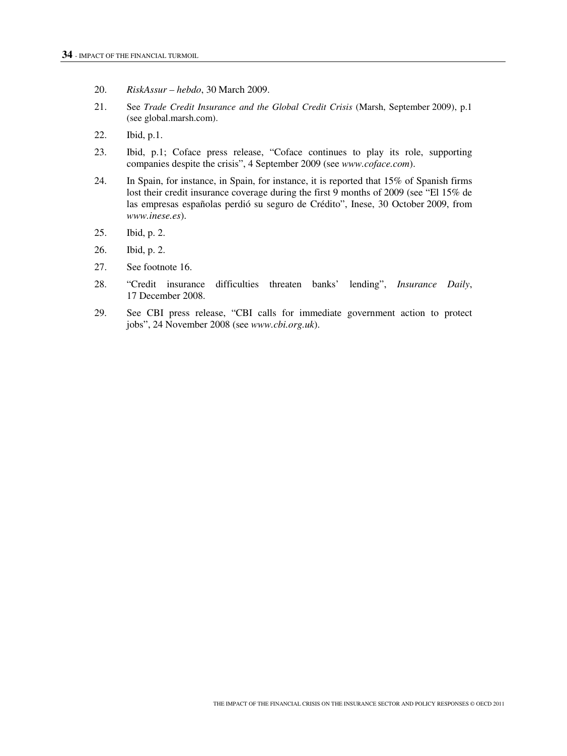- 20. *RiskAssur hebdo*, 30 March 2009.
- 21. See *Trade Credit Insurance and the Global Credit Crisis* (Marsh, September 2009), p.1 (see global.marsh.com).
- 22. Ibid, p.1.
- 23. Ibid, p.1; Coface press release, "Coface continues to play its role, supporting companies despite the crisis", 4 September 2009 (see *www.coface.com*).
- 24. In Spain, for instance, in Spain, for instance, it is reported that 15% of Spanish firms lost their credit insurance coverage during the first 9 months of 2009 (see "El 15% de las empresas españolas perdió su seguro de Crédito", Inese, 30 October 2009, from *www.inese.es*).
- 25. Ibid, p. 2.
- 26. Ibid, p. 2.
- 27. See footnote 16.
- 28. "Credit insurance difficulties threaten banks' lending", *Insurance Daily*, 17 December 2008.
- 29. See CBI press release, "CBI calls for immediate government action to protect jobs", 24 November 2008 (see *www.cbi.org.uk*).